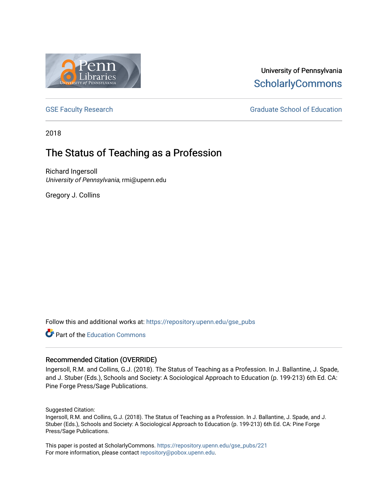

# University of Pennsylvania **ScholarlyCommons**

[GSE Faculty Research](https://repository.upenn.edu/gse_pubs) GSE Faculty Research Graduate School of Education

2018

# The Status of Teaching as a Profession

Richard Ingersoll University of Pennsylvania, rmi@upenn.edu

Gregory J. Collins

Follow this and additional works at: [https://repository.upenn.edu/gse\\_pubs](https://repository.upenn.edu/gse_pubs?utm_source=repository.upenn.edu%2Fgse_pubs%2F221&utm_medium=PDF&utm_campaign=PDFCoverPages) 

**C** Part of the [Education Commons](http://network.bepress.com/hgg/discipline/784?utm_source=repository.upenn.edu%2Fgse_pubs%2F221&utm_medium=PDF&utm_campaign=PDFCoverPages)

## Recommended Citation (OVERRIDE)

Ingersoll, R.M. and Collins, G.J. (2018). The Status of Teaching as a Profession. In J. Ballantine, J. Spade, and J. Stuber (Eds.), Schools and Society: A Sociological Approach to Education (p. 199-213) 6th Ed. CA: Pine Forge Press/Sage Publications.

Suggested Citation:

Ingersoll, R.M. and Collins, G.J. (2018). The Status of Teaching as a Profession. In J. Ballantine, J. Spade, and J. Stuber (Eds.), Schools and Society: A Sociological Approach to Education (p. 199-213) 6th Ed. CA: Pine Forge Press/Sage Publications.

This paper is posted at ScholarlyCommons. [https://repository.upenn.edu/gse\\_pubs/221](https://repository.upenn.edu/gse_pubs/221)  For more information, please contact [repository@pobox.upenn.edu.](mailto:repository@pobox.upenn.edu)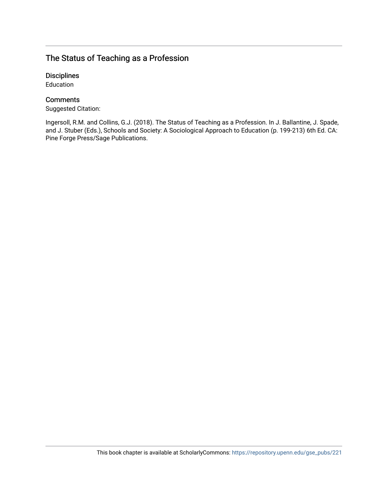## The Status of Teaching as a Profession

## **Disciplines**

Education

## **Comments**

Suggested Citation:

Ingersoll, R.M. and Collins, G.J. (2018). The Status of Teaching as a Profession. In J. Ballantine, J. Spade, and J. Stuber (Eds.), Schools and Society: A Sociological Approach to Education (p. 199-213) 6th Ed. CA: Pine Forge Press/Sage Publications.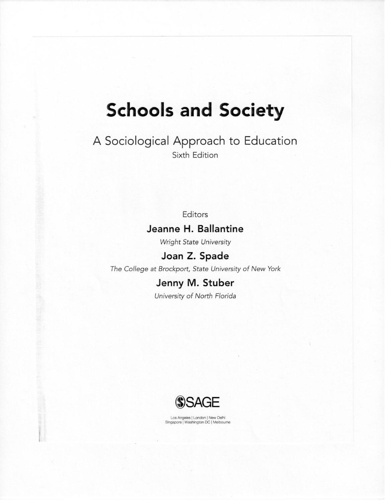# **Schools and Society**

A Sociological Approach to Education Sixth Edition

Editors

# Jeanne H. Ballantine

Wright State University

Joan Z. Spade The College at Brockport, State University of New York

# Jenny M. Stuber

University of North Florida



Los Angeles | London | New Delhi<br>Singapore | Washington DC | Melbourne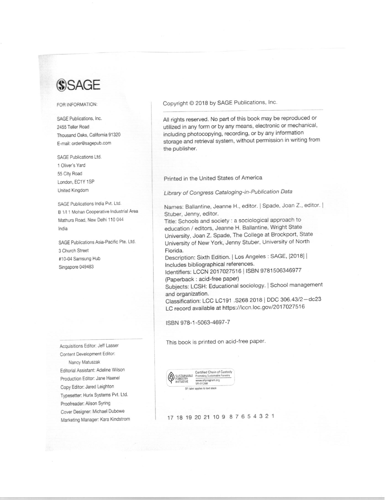# \$)SAGE

#### FOR INFORMATION:

SAGE Publications, Inc. 2455 Teller Road Thousand Oaks, California 91320 E-mail: order@sagepub.com

SAGE Publications Ltd. 1 Oliver's Yard 55 City Road London, EC1Y 1SP United Kingdom

SAGE Publications India Pvt. Ltd. B 1/I 1 Mohan Cooperative Industrial Area Mathura Road, New Delhi 110 044 India

SAGE Publications Asia-Pacific Pte. Ltd. 3 Church Street #10-04 Samsung Hub Singapore 049483

Acquisitions Editor: Jeff Lasser Content Development Editor: Nancy Matuszak Editorial Assistant: Adeline Wilson Production Editor: Jane Haenel Copy Editor: Jared Leighton Typesetter: Hurix Systems Pvt. Ltd. Proofreader: Alison Syring Cover Designer: Michael Dubowe Marketing Manager: Kara Kindstrom

## Copyright @ 2018 by SAGE Publications, Inc.

All rights reserved. No part of this book may be reproduced or utilized in any form or by any means, electronic or mechanical, including photocopying, recording, or by any information storage and retrieval system, without permission in writing from the publisher.

### Printed in the United States of America

Library of Congress Cataloging-in-Publication Data

Names: Ballantine, Jeanne H., editor. | Spade, Joan Z., editor. | Stuber, Jenny, editor.

Title: Schools and society : a sociological approach to education / editors, Jeanne H. Ballantine, Wright State University, Joan Z. Spade, The College at Brockport, State University of New York, Jenny Stuber, University of North Florida.

Description: Sixth Edition. | Los Angeles : SAGE, [2018] | Includes bibliographical references.

Identifiers: LCCN 2017027516 | ISBN 9781506346977 (Paperback : acid-free paper)

Subjects: LCSH: Educational sociology. | School management and organization.

Classification: LCC LC191 .S268 2018 | DDC 306.43/2-dc23 LC record available at https://lccn.loc.gov/2017027516

ISBN 978-1-5063-4697-7

This book is printed on acid-free paper.

| www.sfiprogram.org<br>SFI-01268 |
|---------------------------------|
| SFI label applies to text stock |

17 18 19 20 21 10 9 8 7 6 5 4 3 2 1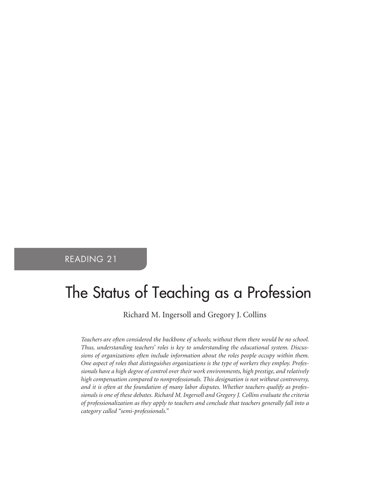# READING 21

# The Status of Teaching as a Profession

Richard M. Ingersoll and Gregory J. Collins

*Teachers are often considered the backbone of schools; without them there would be no school. Thus, understanding teachers' roles is key to understanding the educational system. Discussions of organizations often include information about the roles people occupy within them. One aspect of roles that distinguishes organizations is the type of workers they employ. Professionals have a high degree of control over their work environments, high prestige, and relatively high compensation compared to nonprofessionals. This designation is not without controversy, and it is often at the foundation of many labor disputes. Whether teachers qualify as professionals is one of these debates. Richard M. Ingersoll and Gregory J. Collins evaluate the criteria of professionalization as they apply to teachers and conclude that teachers generally fall into a category called "semi-professionals."*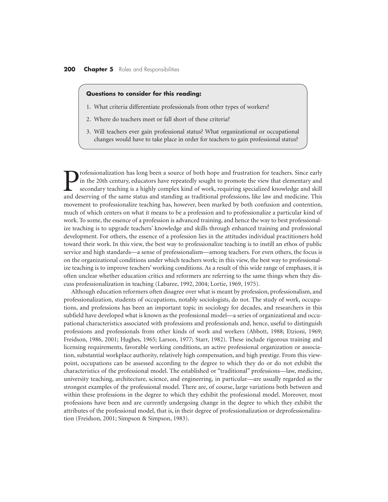### **Questions to consider for this reading:**

- 1. What criteria differentiate professionals from other types of workers?
- 2. Where do teachers meet or fall short of these criteria?
- 3. Will teachers ever gain professional status? What organizational or occupational changes would have to take place in order for teachers to gain professional status?

The simulation has long been a source of both hope and frustration for teachers. Since early in the 20th century, educators have repeatedly sought to promote the view that elementary and secondary teaching is a highly comp in the 20th century, educators have repeatedly sought to promote the view that elementary and secondary teaching is a highly complex kind of work, requiring specialized knowledge and skill and deserving of the same status and standing as traditional professions, like law and medicine. This movement to professionalize teaching has, however, been marked by both confusion and contention, much of which centers on what it means to be a profession and to professionalize a particular kind of work. To some, the essence of a profession is advanced training, and hence the way to best professionalize teaching is to upgrade teachers' knowledge and skills through enhanced training and professional development. For others, the essence of a profession lies in the attitudes individual practitioners hold toward their work. In this view, the best way to professionalize teaching is to instill an ethos of public service and high standards—a sense of professionalism—among teachers. For even others, the focus is on the organizational conditions under which teachers work; in this view, the best way to professionalize teaching is to improve teachers' working conditions. As a result of this wide range of emphases, it is often unclear whether education critics and reformers are referring to the same things when they discuss professionalization in teaching (Labaree, 1992, 2004; Lortie, 1969, 1975).

Although education reformers often disagree over what is meant by profession, professionalism, and professionalization, students of occupations, notably sociologists, do not. The study of work, occupations, and professions has been an important topic in sociology for decades, and researchers in this subfield have developed what is known as the professional model—a series of organizational and occupational characteristics associated with professions and professionals and, hence, useful to distinguish professions and professionals from other kinds of work and workers (Abbott, 1988; Etzioni, 1969; Freidson, 1986, 2001; Hughes, 1965; Larson, 1977; Starr, 1982). These include rigorous training and licensing requirements, favorable working conditions, an active professional organization or association, substantial workplace authority, relatively high compensation, and high prestige. From this viewpoint, occupations can be assessed according to the degree to which they do or do not exhibit the characteristics of the professional model. The established or "traditional" professions—law, medicine, university teaching, architecture, science, and engineering, in particular—are usually regarded as the strongest examples of the professional model. There are, of course, large variations both between and within these professions in the degree to which they exhibit the professional model. Moreover, most professions have been and are currently undergoing change in the degree to which they exhibit the attributes of the professional model, that is, in their degree of professionalization or deprofessionalization (Freidson, 2001; Simpson & Simpson, 1983).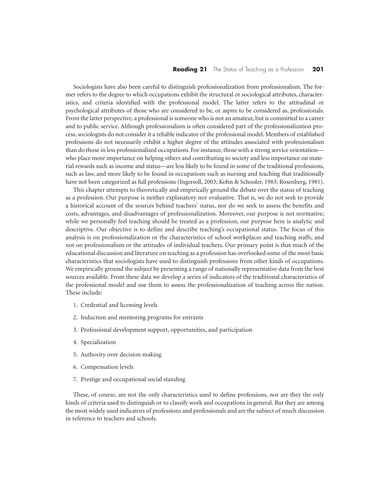Sociologists have also been careful to distinguish professionalization from professionalism. The former refers to the degree to which occupations exhibit the structural or sociological attributes, characteristics, and criteria identified with the professional model. The latter refers to the attitudinal or psychological attributes of those who are considered to be, or aspire to be considered as, professionals. From the latter perspective, a professional is someone who is not an amateur, but is committed to a career and to public service. Although professionalism is often considered part of the professionalization process, sociologists do not consider it a reliable indicator of the professional model. Members of established professions do not necessarily exhibit a higher degree of the attitudes associated with professionalism than do those in less professionalized occupations. For instance, those with a strong service orientation who place more importance on helping others and contributing to society and less importance on material rewards such as income and status—are less likely to be found in some of the traditional professions, such as law, and more likely to be found in occupations such as nursing and teaching that traditionally have not been categorized as full professions (Ingersoll, 2003; Kohn & Schooler, 1983; Rosenberg, 1981).

This chapter attempts to theoretically and empirically ground the debate over the status of teaching as a profession. Our purpose is neither explanatory nor evaluative. That is, we do not seek to provide a historical account of the sources behind teachers' status, nor do we seek to assess the benefits and costs, advantages, and disadvantages of professionalization. Moreover, our purpose is not normative; while we personally feel teaching should be treated as a profession, our purpose here is analytic and descriptive. Our objective is to define and describe teaching's occupational status. The focus of this analysis is on professionalization or the characteristics of school workplaces and teaching staffs, and not on professionalism or the attitudes of individual teachers. Our primary point is that much of the educational discussion and literature on teaching as a profession has overlooked some of the most basic characteristics that sociologists have used to distinguish professions from other kinds of occupations. We empirically ground the subject by presenting a range of nationally representative data from the best sources available. From these data we develop a series of indicators of the traditional characteristics of the professional model and use them to assess the professionalization of teaching across the nation. These include:

- 1. Credential and licensing levels
- 2. Induction and mentoring programs for entrants
- 3. Professional development support, opportunities, and participation
- 4. Specialization
- 5. Authority over decision making
- 6. Compensation levels
- 7. Prestige and occupational social standing

These, of course, are not the only characteristics used to define professions, nor are they the only kinds of criteria used to distinguish or to classify work and occupations in general. But they are among the most widely used indicators of professions and professionals and are the subject of much discussion in reference to teachers and schools.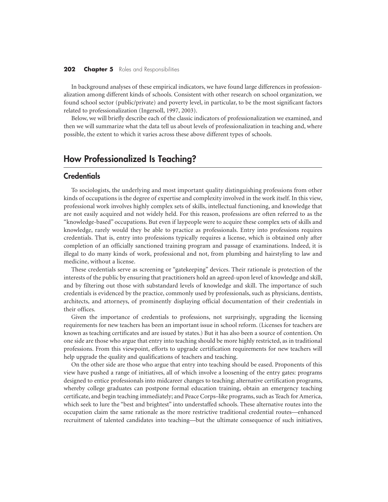In background analyses of these empirical indicators, we have found large differences in professionalization among different kinds of schools. Consistent with other research on school organization, we found school sector (public/private) and poverty level, in particular, to be the most significant factors related to professionalization (Ingersoll, 1997, 2003).

Below, we will briefly describe each of the classic indicators of professionalization we examined, and then we will summarize what the data tell us about levels of professionalization in teaching and, where possible, the extent to which it varies across these above different types of schools.

## **How Professionalized Is Teaching?**

## **Credentials**

To sociologists, the underlying and most important quality distinguishing professions from other kinds of occupations is the degree of expertise and complexity involved in the work itself. In this view, professional work involves highly complex sets of skills, intellectual functioning, and knowledge that are not easily acquired and not widely held. For this reason, professions are often referred to as the "knowledge-based" occupations. But even if laypeople were to acquire these complex sets of skills and knowledge, rarely would they be able to practice as professionals. Entry into professions requires credentials. That is, entry into professions typically requires a license, which is obtained only after completion of an officially sanctioned training program and passage of examinations. Indeed, it is illegal to do many kinds of work, professional and not, from plumbing and hairstyling to law and medicine, without a license.

These credentials serve as screening or "gatekeeping" devices. Their rationale is protection of the interests of the public by ensuring that practitioners hold an agreed-upon level of knowledge and skill, and by filtering out those with substandard levels of knowledge and skill. The importance of such credentials is evidenced by the practice, commonly used by professionals, such as physicians, dentists, architects, and attorneys, of prominently displaying official documentation of their credentials in their offices.

Given the importance of credentials to professions, not surprisingly, upgrading the licensing requirements for new teachers has been an important issue in school reform. (Licenses for teachers are known as teaching certificates and are issued by states.) But it has also been a source of contention. On one side are those who argue that entry into teaching should be more highly restricted, as in traditional professions. From this viewpoint, efforts to upgrade certification requirements for new teachers will help upgrade the quality and qualifications of teachers and teaching.

On the other side are those who argue that entry into teaching should be eased. Proponents of this view have pushed a range of initiatives, all of which involve a loosening of the entry gates: programs designed to entice professionals into midcareer changes to teaching; alternative certification programs, whereby college graduates can postpone formal education training, obtain an emergency teaching certificate, and begin teaching immediately; and Peace Corps–like programs, such as Teach for America, which seek to lure the "best and brightest" into understaffed schools. These alternative routes into the occupation claim the same rationale as the more restrictive traditional credential routes—enhanced recruitment of talented candidates into teaching—but the ultimate consequence of such initiatives,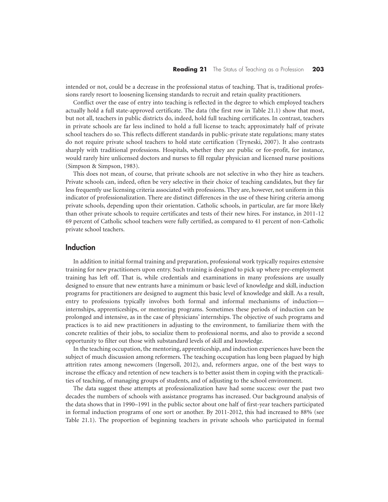intended or not, could be a decrease in the professional status of teaching. That is, traditional professions rarely resort to loosening licensing standards to recruit and retain quality practitioners.

Conflict over the ease of entry into teaching is reflected in the degree to which employed teachers actually hold a full state-approved certificate. The data (the first row in Table 21.1) show that most, but not all, teachers in public districts do, indeed, hold full teaching certificates. In contrast, teachers in private schools are far less inclined to hold a full license to teach; approximately half of private school teachers do so. This reflects different standards in public-private state regulations; many states do not require private school teachers to hold state certification (Tryneski, 2007). It also contrasts sharply with traditional professions. Hospitals, whether they are public or for-profit, for instance, would rarely hire unlicensed doctors and nurses to fill regular physician and licensed nurse positions (Simpson & Simpson, 1983).

This does not mean, of course, that private schools are not selective in who they hire as teachers. Private schools can, indeed, often be very selective in their choice of teaching candidates, but they far less frequently use licensing criteria associated with professions. They are, however, not uniform in this indicator of professionalization. There are distinct differences in the use of these hiring criteria among private schools, depending upon their orientation. Catholic schools, in particular, are far more likely than other private schools to require certificates and tests of their new hires. For instance, in 2011-12 69 percent of Catholic school teachers were fully certified, as compared to 41 percent of non-Catholic private school teachers.

## **Induction**

In addition to initial formal training and preparation, professional work typically requires extensive training for new practitioners upon entry. Such training is designed to pick up where pre-employment training has left off. That is, while credentials and examinations in many professions are usually designed to ensure that new entrants have a minimum or basic level of knowledge and skill, induction programs for practitioners are designed to augment this basic level of knowledge and skill. As a result, entry to professions typically involves both formal and informal mechanisms of induction internships, apprenticeships, or mentoring programs. Sometimes these periods of induction can be prolonged and intensive, as in the case of physicians' internships. The objective of such programs and practices is to aid new practitioners in adjusting to the environment, to familiarize them with the concrete realities of their jobs, to socialize them to professional norms, and also to provide a second opportunity to filter out those with substandard levels of skill and knowledge.

In the teaching occupation, the mentoring, apprenticeship, and induction experiences have been the subject of much discussion among reformers. The teaching occupation has long been plagued by high attrition rates among newcomers (Ingersoll, 2012), and, reformers argue, one of the best ways to increase the efficacy and retention of new teachers is to better assist them in coping with the practicalities of teaching, of managing groups of students, and of adjusting to the school environment.

The data suggest these attempts at professionalization have had some success: over the past two decades the numbers of schools with assistance programs has increased. Our background analysis of the data shows that in 1990–1991 in the public sector about one half of first-year teachers participated in formal induction programs of one sort or another. By 2011-2012, this had increased to 88% (see Table 21.1). The proportion of beginning teachers in private schools who participated in formal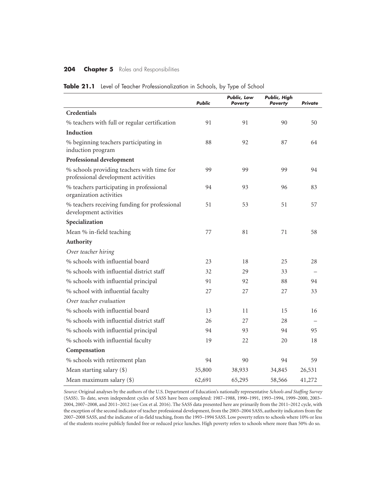|  |  | Table 21.1 Level of Teacher Professionalization in Schools, by Type of School |  |  |  |  |
|--|--|-------------------------------------------------------------------------------|--|--|--|--|
|--|--|-------------------------------------------------------------------------------|--|--|--|--|

|                                                                                   | <b>Public</b> | Public, Low<br><b>Poverty</b> | Public, High<br><b>Poverty</b> | <b>Private</b> |
|-----------------------------------------------------------------------------------|---------------|-------------------------------|--------------------------------|----------------|
| <b>Credentials</b>                                                                |               |                               |                                |                |
| % teachers with full or regular certification                                     | 91            | 91                            | 90                             | 50             |
| Induction                                                                         |               |                               |                                |                |
| % beginning teachers participating in<br>induction program                        | 88            | 92                            | 87                             | 64             |
| Professional development                                                          |               |                               |                                |                |
| % schools providing teachers with time for<br>professional development activities | 99            | 99                            | 99                             | 94             |
| % teachers participating in professional<br>organization activities               | 94            | 93                            | 96                             | 83             |
| % teachers receiving funding for professional<br>development activities           | 51            | 53                            | 51                             | 57             |
| Specialization                                                                    |               |                               |                                |                |
| Mean % in-field teaching                                                          | 77            | 81                            | 71                             | 58             |
| Authority                                                                         |               |                               |                                |                |
| Over teacher hiring                                                               |               |                               |                                |                |
| % schools with influential board                                                  | 23            | 18                            | 25                             | 28             |
| % schools with influential district staff                                         | 32            | 29                            | 33                             |                |
| % schools with influential principal                                              | 91            | 92                            | 88                             | 94             |
| % school with influential faculty                                                 | 27            | 27                            | 27                             | 33             |
| Over teacher evaluation                                                           |               |                               |                                |                |
| % schools with influential board                                                  | 13            | 11                            | 15                             | 16             |
| % schools with influential district staff                                         | 26            | 27                            | 28                             |                |
| % schools with influential principal                                              | 94            | 93                            | 94                             | 95             |
| % schools with influential faculty                                                | 19            | 22                            | 20                             | 18             |
| Compensation                                                                      |               |                               |                                |                |
| % schools with retirement plan                                                    | 94            | 90                            | 94                             | 59             |
| Mean starting salary (\$)                                                         | 35,800        | 38,933                        | 34,845                         | 26,531         |
| Mean maximum salary (\$)                                                          | 62,691        | 65,295                        | 58,566                         | 41,272         |

*Source*: Original analyses by the authors of the U.S. Department of Education's nationally representative *Schools and Staffing Survey* (SASS). To date, seven independent cycles of SASS have been completed: 1987–1988, 1990–1991, 1993–1994, 1999–2000, 2003– 2004, 2007–2008, and 2011–2012 (see Cox et al. 2016). The SASS data presented here are primarily from the 2011–2012 cycle, with the exception of the second indicator of teacher professional development, from the 2003–2004 SASS, authority indicators from the 2007–2008 SASS, and the indicator of in-field teaching, from the 1993–1994 SASS. Low poverty refers to schools where 10% or less of the students receive publicly funded free or reduced price lunches. High poverty refers to schools where more than 50% do so.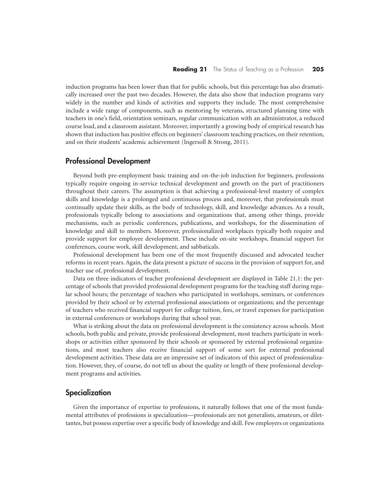induction programs has been lower than that for public schools, but this percentage has also dramatically increased over the past two decades. However, the data also show that induction programs vary widely in the number and kinds of activities and supports they include. The most comprehensive include a wide range of components, such as mentoring by veterans, structured planning time with teachers in one's field, orientation seminars, regular communication with an administrator, a reduced course load, and a classroom assistant. Moreover, importantly a growing body of empirical research has shown that induction has positive effects on beginners' classroom teaching practices, on their retention, and on their students' academic achievement (Ingersoll & Strong, 2011).

## **Professional Development**

Beyond both pre-employment basic training and on-the-job induction for beginners, professions typically require ongoing in-service technical development and growth on the part of practitioners throughout their careers. The assumption is that achieving a professional-level mastery of complex skills and knowledge is a prolonged and continuous process and, moreover, that professionals must continually update their skills, as the body of technology, skill, and knowledge advances. As a result, professionals typically belong to associations and organizations that, among other things, provide mechanisms, such as periodic conferences, publications, and workshops, for the dissemination of knowledge and skill to members. Moreover, professionalized workplaces typically both require and provide support for employee development. These include on-site workshops, financial support for conferences, course work, skill development, and sabbaticals.

Professional development has been one of the most frequently discussed and advocated teacher reforms in recent years. Again, the data present a picture of success in the provision of support for, and teacher use of, professional development.

Data on three indicators of teacher professional development are displayed in Table 21.1: the percentage of schools that provided professional development programs for the teaching staff during regular school hours; the percentage of teachers who participated in workshops, seminars, or conferences provided by their school or by external professional associations or organizations; and the percentage of teachers who received financial support for college tuition, fees, or travel expenses for participation in external conferences or workshops during that school year.

What is striking about the data on professional development is the consistency across schools. Most schools, both public and private, provide professional development, most teachers participate in workshops or activities either sponsored by their schools or sponsored by external professional organizations, and most teachers also receive financial support of some sort for external professional development activities. These data are an impressive set of indicators of this aspect of professionalization. However, they, of course, do not tell us about the quality or length of these professional development programs and activities.

## **Specialization**

Given the importance of expertise to professions, it naturally follows that one of the most fundamental attributes of professions is specialization—professionals are not generalists, amateurs, or dilettantes, but possess expertise over a specific body of knowledge and skill. Few employers or organizations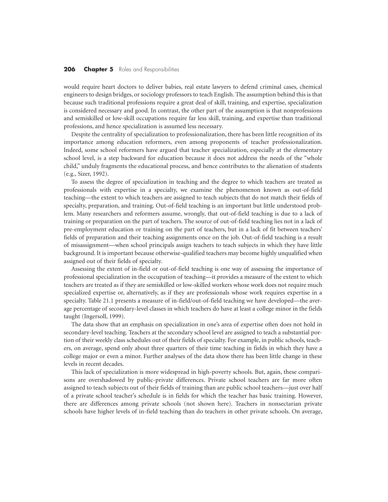would require heart doctors to deliver babies, real estate lawyers to defend criminal cases, chemical engineers to design bridges, or sociology professors to teach English. The assumption behind this is that because such traditional professions require a great deal of skill, training, and expertise, specialization is considered necessary and good. In contrast, the other part of the assumption is that nonprofessions and semiskilled or low-skill occupations require far less skill, training, and expertise than traditional professions, and hence specialization is assumed less necessary.

Despite the centrality of specialization to professionalization, there has been little recognition of its importance among education reformers, even among proponents of teacher professionalization. Indeed, some school reformers have argued that teacher specialization, especially at the elementary school level, is a step backward for education because it does not address the needs of the "whole child," unduly fragments the educational process, and hence contributes to the alienation of students (e.g., Sizer, 1992).

To assess the degree of specialization in teaching and the degree to which teachers are treated as professionals with expertise in a specialty, we examine the phenomenon known as out-of-field teaching—the extent to which teachers are assigned to teach subjects that do not match their fields of specialty, preparation, and training. Out-of-field teaching is an important but little understood problem. Many researchers and reformers assume, wrongly, that out-of-field teaching is due to a lack of training or preparation on the part of teachers. The source of out-of-field teaching lies not in a lack of pre-employment education or training on the part of teachers, but in a lack of fit between teachers' fields of preparation and their teaching assignments once on the job. Out-of-field teaching is a result of misassignment—when school principals assign teachers to teach subjects in which they have little background. It is important because otherwise-qualified teachers may become highly unqualified when assigned out of their fields of specialty.

Assessing the extent of in-field or out-of-field teaching is one way of assessing the importance of professional specialization in the occupation of teaching—it provides a measure of the extent to which teachers are treated as if they are semiskilled or low-skilled workers whose work does not require much specialized expertise or, alternatively, as if they are professionals whose work requires expertise in a specialty. Table 21.1 presents a measure of in-field/out-of-field teaching we have developed—the average percentage of secondary-level classes in which teachers do have at least a college minor in the fields taught (Ingersoll, 1999).

The data show that an emphasis on specialization in one's area of expertise often does not hold in secondary-level teaching. Teachers at the secondary school level are assigned to teach a substantial portion of their weekly class schedules out of their fields of specialty. For example, in public schools, teachers, on average, spend only about three quarters of their time teaching in fields in which they have a college major or even a minor. Further analyses of the data show there has been little change in these levels in recent decades.

This lack of specialization is more widespread in high-poverty schools. But, again, these comparisons are overshadowed by public-private differences. Private school teachers are far more often assigned to teach subjects out of their fields of training than are public school teachers—just over half of a private school teacher's schedule is in fields for which the teacher has basic training. However, there are differences among private schools (not shown here). Teachers in nonsectarian private schools have higher levels of in-field teaching than do teachers in other private schools. On average,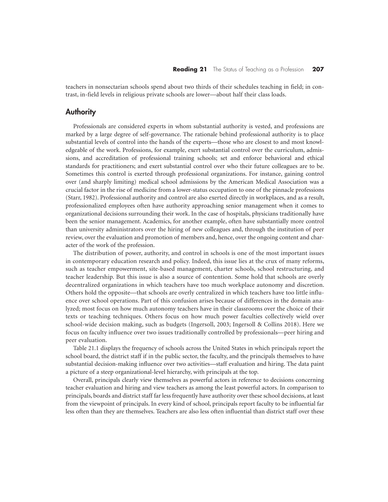teachers in nonsectarian schools spend about two thirds of their schedules teaching in field; in contrast, in-field levels in religious private schools are lower—about half their class loads.

### **Authority**

Professionals are considered experts in whom substantial authority is vested, and professions are marked by a large degree of self-governance. The rationale behind professional authority is to place substantial levels of control into the hands of the experts—those who are closest to and most knowledgeable of the work. Professions, for example, exert substantial control over the curriculum, admissions, and accreditation of professional training schools; set and enforce behavioral and ethical standards for practitioners; and exert substantial control over who their future colleagues are to be. Sometimes this control is exerted through professional organizations. For instance, gaining control over (and sharply limiting) medical school admissions by the American Medical Association was a crucial factor in the rise of medicine from a lower-status occupation to one of the pinnacle professions (Starr, 1982). Professional authority and control are also exerted directly in workplaces, and as a result, professionalized employees often have authority approaching senior management when it comes to organizational decisions surrounding their work. In the case of hospitals, physicians traditionally have been the senior management. Academics, for another example, often have substantially more control than university administrators over the hiring of new colleagues and, through the institution of peer review, over the evaluation and promotion of members and, hence, over the ongoing content and character of the work of the profession.

The distribution of power, authority, and control in schools is one of the most important issues in contemporary education research and policy. Indeed, this issue lies at the crux of many reforms, such as teacher empowerment, site-based management, charter schools, school restructuring, and teacher leadership. But this issue is also a source of contention. Some hold that schools are overly decentralized organizations in which teachers have too much workplace autonomy and discretion. Others hold the opposite—that schools are overly centralized in which teachers have too little influence over school operations. Part of this confusion arises because of differences in the domain analyzed; most focus on how much autonomy teachers have in their classrooms over the choice of their texts or teaching techniques. Others focus on how much power faculties collectively wield over school-wide decision making, such as budgets (Ingersoll, 2003; Ingersoll & Collins 2018). Here we focus on faculty influence over two issues traditionally controlled by professionals—peer hiring and peer evaluation.

Table 21.1 displays the frequency of schools across the United States in which principals report the school board, the district staff if in the public sector, the faculty, and the principals themselves to have substantial decision-making influence over two activities—staff evaluation and hiring. The data paint a picture of a steep organizational-level hierarchy, with principals at the top.

Overall, principals clearly view themselves as powerful actors in reference to decisions concerning teacher evaluation and hiring and view teachers as among the least powerful actors. In comparison to principals, boards and district staff far less frequently have authority over these school decisions, at least from the viewpoint of principals. In every kind of school, principals report faculty to be influential far less often than they are themselves. Teachers are also less often influential than district staff over these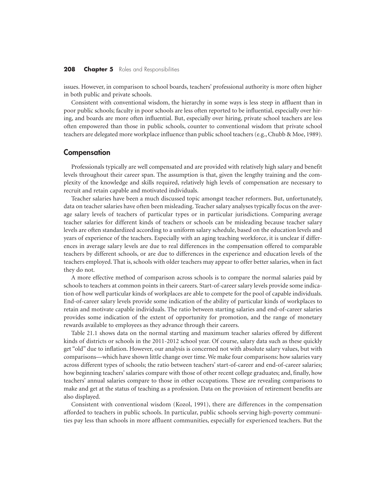issues. However, in comparison to school boards, teachers' professional authority is more often higher in both public and private schools.

Consistent with conventional wisdom, the hierarchy in some ways is less steep in affluent than in poor public schools; faculty in poor schools are less often reported to be influential, especially over hiring, and boards are more often influential. But, especially over hiring, private school teachers are less often empowered than those in public schools, counter to conventional wisdom that private school teachers are delegated more workplace influence than public school teachers (e.g., Chubb & Moe, 1989).

#### **Compensation**

Professionals typically are well compensated and are provided with relatively high salary and benefit levels throughout their career span. The assumption is that, given the lengthy training and the complexity of the knowledge and skills required, relatively high levels of compensation are necessary to recruit and retain capable and motivated individuals.

Teacher salaries have been a much discussed topic amongst teacher reformers. But, unfortunately, data on teacher salaries have often been misleading. Teacher salary analyses typically focus on the average salary levels of teachers of particular types or in particular jurisdictions. Comparing average teacher salaries for different kinds of teachers or schools can be misleading because teacher salary levels are often standardized according to a uniform salary schedule, based on the education levels and years of experience of the teachers. Especially with an aging teaching workforce, it is unclear if differences in average salary levels are due to real differences in the compensation offered to comparable teachers by different schools, or are due to differences in the experience and education levels of the teachers employed. That is, schools with older teachers may appear to offer better salaries, when in fact they do not.

A more effective method of comparison across schools is to compare the normal salaries paid by schools to teachers at common points in their careers. Start-of-career salary levels provide some indication of how well particular kinds of workplaces are able to compete for the pool of capable individuals. End-of-career salary levels provide some indication of the ability of particular kinds of workplaces to retain and motivate capable individuals. The ratio between starting salaries and end-of-career salaries provides some indication of the extent of opportunity for promotion, and the range of monetary rewards available to employees as they advance through their careers.

Table 21.1 shows data on the normal starting and maximum teacher salaries offered by different kinds of districts or schools in the 2011-2012 school year. Of course, salary data such as these quickly get "old" due to inflation. However, our analysis is concerned not with absolute salary values, but with comparisons—which have shown little change over time. We make four comparisons: how salaries vary across different types of schools; the ratio between teachers' start-of-career and end-of-career salaries; how beginning teachers' salaries compare with those of other recent college graduates; and, finally, how teachers' annual salaries compare to those in other occupations. These are revealing comparisons to make and get at the status of teaching as a profession. Data on the provision of retirement benefits are also displayed.

Consistent with conventional wisdom (Kozol, 1991), there are differences in the compensation afforded to teachers in public schools. In particular, public schools serving high-poverty communities pay less than schools in more affluent communities, especially for experienced teachers. But the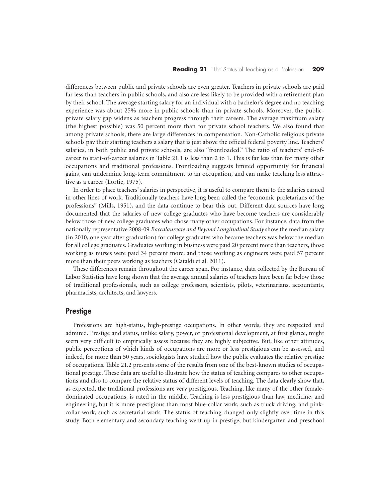differences between public and private schools are even greater. Teachers in private schools are paid far less than teachers in public schools, and also are less likely to be provided with a retirement plan by their school. The average starting salary for an individual with a bachelor's degree and no teaching experience was about 25% more in public schools than in private schools. Moreover, the publicprivate salary gap widens as teachers progress through their careers. The average maximum salary (the highest possible) was 50 percent more than for private school teachers. We also found that among private schools, there are large differences in compensation. Non-Catholic religious private schools pay their starting teachers a salary that is just above the official federal poverty line. Teachers' salaries, in both public and private schools, are also "frontloaded." The ratio of teachers' end-ofcareer to start-of-career salaries in Table 21.1 is less than 2 to 1. This is far less than for many other occupations and traditional professions. Frontloading suggests limited opportunity for financial gains, can undermine long-term commitment to an occupation, and can make teaching less attractive as a career (Lortie, 1975).

In order to place teachers' salaries in perspective, it is useful to compare them to the salaries earned in other lines of work. Traditionally teachers have long been called the "economic proletarians of the professions" (Mills, 1951), and the data continue to bear this out. Different data sources have long documented that the salaries of new college graduates who have become teachers are considerably below those of new college graduates who chose many other occupations. For instance, data from the nationally representative 2008-09 *Baccalaureate and Beyond Longitudinal Study* show the median salary (in 2010, one year after graduation) for college graduates who became teachers was below the median for all college graduates. Graduates working in business were paid 20 percent more than teachers, those working as nurses were paid 34 percent more, and those working as engineers were paid 57 percent more than their peers working as teachers (Cataldi et al. 2011).

These differences remain throughout the career span. For instance, data collected by the Bureau of Labor Statistics have long shown that the average annual salaries of teachers have been far below those of traditional professionals, such as college professors, scientists, pilots, veterinarians, accountants, pharmacists, architects, and lawyers.

## **Prestige**

Professions are high-status, high-prestige occupations. In other words, they are respected and admired. Prestige and status, unlike salary, power, or professional development, at first glance, might seem very difficult to empirically assess because they are highly subjective. But, like other attitudes, public perceptions of which kinds of occupations are more or less prestigious can be assessed, and indeed, for more than 50 years, sociologists have studied how the public evaluates the relative prestige of occupations. Table 21.2 presents some of the results from one of the best-known studies of occupational prestige. These data are useful to illustrate how the status of teaching compares to other occupations and also to compare the relative status of different levels of teaching. The data clearly show that, as expected, the traditional professions are very prestigious. Teaching, like many of the other femaledominated occupations, is rated in the middle. Teaching is less prestigious than law, medicine, and engineering, but it is more prestigious than most blue-collar work, such as truck driving, and pinkcollar work, such as secretarial work. The status of teaching changed only slightly over time in this study. Both elementary and secondary teaching went up in prestige, but kindergarten and preschool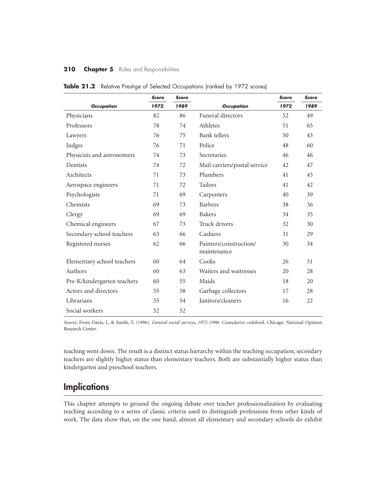|                             | <b>Score</b> | <b>Score</b> |                                       | <b>Score</b> | <b>Score</b> |
|-----------------------------|--------------|--------------|---------------------------------------|--------------|--------------|
| <b>Occupation</b>           | 1972         | 1989         | <b>Occupation</b>                     | 1972         | 1989         |
| Physicians                  | 82           | 86           | Funeral directors                     | 52           | 49           |
| Professors                  | 78           | 74           | Athletes                              | 51           | 65           |
| Lawyers                     | 76           | 75           | <b>Bank</b> tellers                   | 50           | 43           |
| Judges                      | 76           | 71           | Police                                | 48           | 60           |
| Physicists and astronomers  | 74           | 73           | Secretaries                           | 46           | 46           |
| Dentists                    | 74           | 72           | Mail carriers/postal service          | 42           | 47           |
| Architects                  | 71           | 73           | Plumbers                              | 41           | 45           |
| Aerospace engineers         | 71           | 72           | Tailors                               | 41           | 42           |
| Psychologists               | 71           | 69           | Carpenters                            | 40           | 39           |
| Chemists                    | 69           | 73           | <b>Barbers</b>                        | 38           | 36           |
| Clergy                      | 69           | 69           | <b>Bakers</b>                         | 34           | 35           |
| Chemical engineers          | 67           | 73           | Truck drivers                         | 32           | 30           |
| Secondary school teachers   | 63           | 66           | Cashiers                              | 31           | 29           |
| Registered nurses           | 62           | 66           | Painters/construction/<br>maintenance | 30           | 34           |
| Elementary school teachers  | 60           | 64           | Cooks                                 | 26           | 31           |
| Authors                     | 60           | 63           | Waiters and waitresses                | 20           | 28           |
| Pre-K/kindergarten teachers | 60           | 55           | Maids                                 | 18           | 20           |
| Actors and directors        | 55           | 58           | Garbage collectors                    | 17           | 28           |
| Librarians                  | 55           | 54           | Janitors/cleaners                     | 16           | 22           |
| Social workers              | 52           | 52           |                                       |              |              |

#### **Table 21.2** Relative Prestige of Selected Occupations (ranked by 1972 scores)

*Source:* From Davis, J., & Smith, T. (1996). *General social surveys*, *1972–1996: Cumulative codebook*. Chicago: National Opinion Research Center.

teaching went down. The result is a distinct status hierarchy within the teaching occupation; secondary teachers are slightly higher status than elementary teachers. Both are substantially higher status than kindergarten and preschool teachers.

## **Implications**

This chapter attempts to ground the ongoing debate over teacher professionalization by evaluating teaching according to a series of classic criteria used to distinguish professions from other kinds of work. The data show that, on the one hand, almost all elementary and secondary schools do exhibit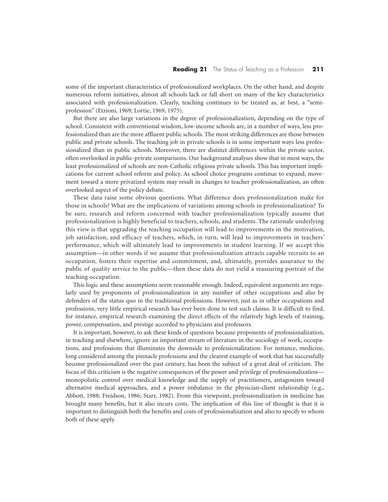some of the important characteristics of professionalized workplaces. On the other hand, and despite numerous reform initiatives, almost all schools lack or fall short on many of the key characteristics associated with professionalization. Clearly, teaching continues to be treated as, at best, a "semiprofession" (Etzioni, 1969; Lortie, 1969, 1975).

But there are also large variations in the degree of professionalization, depending on the type of school. Consistent with conventional wisdom, low-income schools are, in a number of ways, less professionalized than are the more affluent public schools. The most striking differences are those between public and private schools. The teaching job in private schools is in some important ways less professionalized than in public schools. Moreover, there are distinct differences within the private sector, often overlooked in public-private comparisons. Our background analyses show that in most ways, the least professionalized of schools are non-Catholic religious private schools. This has important implications for current school reform and policy. As school choice programs continue to expand, movement toward a more privatized system may result in changes to teacher professionalization, an often overlooked aspect of the policy debate.

These data raise some obvious questions. What difference does professionalization make for those in schools? What are the implications of variations among schools in professionalization? To be sure, research and reform concerned with teacher professionalization typically assume that professionalization is highly beneficial to teachers, schools, and students. The rationale underlying this view is that upgrading the teaching occupation will lead to improvements in the motivation, job satisfaction, and efficacy of teachers, which, in turn, will lead to improvements in teachers' performance, which will ultimately lead to improvements in student learning. If we accept this assumption—in other words if we assume that professionalization attracts capable recruits to an occupation, fosters their expertise and commitment, and, ultimately, provides assurance to the public of quality service to the public—then these data do not yield a reassuring portrait of the teaching occupation.

This logic and these assumptions seem reasonable enough. Indeed, equivalent arguments are regularly used by proponents of professionalization in any number of other occupations and also by defenders of the status quo in the traditional professions. However, just as in other occupations and professions, very little empirical research has ever been done to test such claims. It is difficult to find, for instance, empirical research examining the direct effects of the relatively high levels of training, power, compensation, and prestige accorded to physicians and professors.

It is important, however, to ask these kinds of questions because proponents of professionalization, in teaching and elsewhere, ignore an important stream of literature in the sociology of work, occupations, and professions that illuminates the downside to professionalization. For instance, medicine, long considered among the pinnacle professions and the clearest example of work that has successfully become professionalized over the past century, has been the subject of a great deal of criticism. The focus of this criticism is the negative consequences of the power and privilege of professionalization monopolistic control over medical knowledge and the supply of practitioners, antagonism toward alternative medical approaches, and a power imbalance in the physician-client relationship (e.g., Abbott, 1988; Freidson, 1986; Starr, 1982). From this viewpoint, professionalization in medicine has brought many benefits, but it also incurs costs. The implication of this line of thought is that it is important to distinguish both the benefits and costs of professionalization and also to specify to whom both of these apply.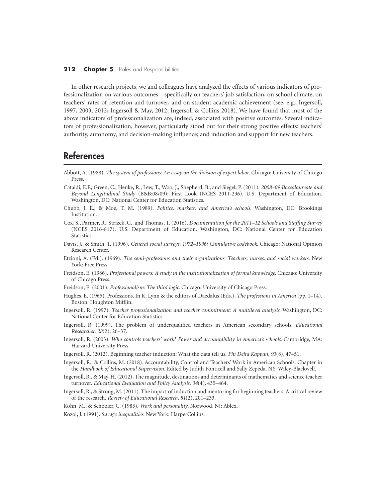In other research projects, we and colleagues have analyzed the effects of various indicators of professionalization on various outcomes—specifically on teachers' job satisfaction, on school climate, on teachers' rates of retention and turnover, and on student academic achievement (see, e.g., Ingersoll, 1997, 2003, 2012; Ingersoll & May, 2012; Ingersoll & Collins 2018). We have found that most of the above indicators of professionalization are, indeed, associated with positive outcomes. Several indicators of professionalization, however, particularly stood out for their strong positive effects: teachers' authority, autonomy, and decision-making influence; and induction and support for new teachers.

## **References**

- Abbott, A. (1988). *The system of professions: An essay on the division of expert labor*. Chicago: University of Chicago Press.
- Cataldi, E.F., Green, C., Henke, R., Lew, T., Woo, J., Shepherd, B., and Siegel, P. (2011). *2008–09 Baccalaureate and Beyond Longitudinal Study* (B&B:08/09): First Look (NCES 2011-236). U.S. Department of Education. Washington, DC: National Center for Education Statistics.
- Chubb, J. E., & Moe, T. M. (1989). *Politics, markets, and America's schools.* Washington, DC: Brookings Institution.
- Cox, S., Parmer, R., Strizek, G., and Thomas, T. (2016). *Documentation for the 2011–12 Schools and Staffing Survey* (NCES 2016-817). U.S. Department of Education. Washington, DC: National Center for Education Statistics.
- Davis, J., & Smith, T. (1996). *General social surveys, 1972–1996: Cumulative codebook*. Chicago: National Opinion Research Center.
- Etzioni, A. (Ed.). (1969). *The semi-professions and their organizations: Teachers, nurses, and social workers*. New York: Free Press.
- Freidson, E. (1986). *Professional powers: A study in the institutionalization of formal knowledge*. Chicago: University of Chicago Press.
- Freidson, E. (2001). *Professionalism: The third logic*. Chicago: University of Chicago Press.
- Hughes, E. (1965). Professions. In K. Lynn & the editors of Daedalus (Eds.), *The professions in America* (pp. 1–14). Boston: Houghton Mifflin.
- Ingersoll, R. (1997). *Teacher professionalization and teacher commitment: A multilevel analysis*. Washington, DC: National Center for Education Statistics.
- Ingersoll, R. (1999). The problem of underqualified teachers in American secondary schools. *Educational Researcher, 28*(2), 26–37.
- Ingersoll, R. (2003). *Who controls teachers' work? Power and accountability in America's schools*. Cambridge, MA: Harvard University Press.
- Ingersoll, R. (2012). Beginning teacher induction: What the data tell us. *Phi Delta Kappan, 93*(8), 47–51.
- Ingersoll, R., & Collins, M. (2018). Accountability, Control and Teachers' Work in American Schools. Chapter in the *Handbook of Educational Supervision.* Edited by Judith Ponticell and Sally Zepeda. NY: Wiley-Blackwell.
- Ingersoll, R., & May, H. (2012). The magnitude, destinations and determinants of mathematics and science teacher turnover. *Educational Evaluation and Policy Analysis, 34*(4), 435–464.
- Ingersoll, R., & Strong, M. (2011). The impact of induction and mentoring for beginning teachers: A critical review of the research. *Review of Educational Research, 81*(2), 201–233.
- Kohn, M., & Schooler, C. (1983). *Work and personality*. Norwood, NJ: Ablex.
- Kozol, J. (1991). *Savage inequalities*. New York: HarperCollins.